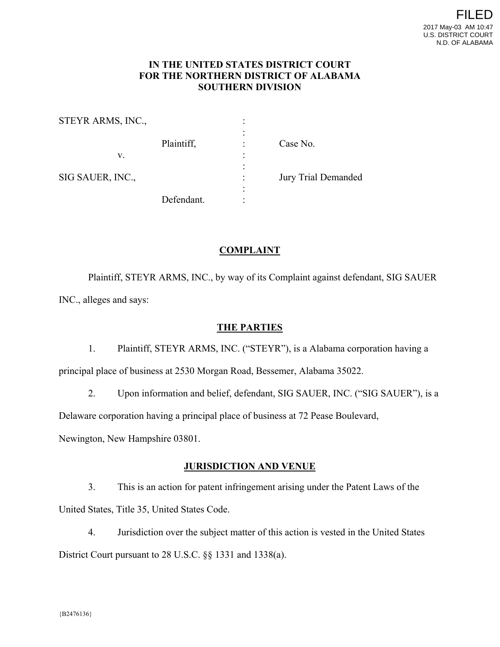#### **IN THE UNITED STATES DISTRICT COURT FOR THE NORTHERN DISTRICT OF ALABAMA SOUTHERN DIVISION**

STEYR ARMS, INC., the contract of the contract of the contract of the contract of the contract of Plaintiff,  $\qquad \qquad$  : Case No.  $V.$   $\vdots$ the contract of the contract of the contract of the contract of SIG SAUER, INC., **In the SIG SAUER**, INC., the contract of the contract of the contract of the contract of the contract of Defendant.

# **COMPLAINT**

 Plaintiff, STEYR ARMS, INC., by way of its Complaint against defendant, SIG SAUER INC., alleges and says:

### **THE PARTIES**

1. Plaintiff, STEYR ARMS, INC. ("STEYR"), is a Alabama corporation having a principal place of business at 2530 Morgan Road, Bessemer, Alabama 35022.

2. Upon information and belief, defendant, SIG SAUER, INC. ("SIG SAUER"), is a Delaware corporation having a principal place of business at 72 Pease Boulevard,

Newington, New Hampshire 03801.

## **JURISDICTION AND VENUE**

3. This is an action for patent infringement arising under the Patent Laws of the United States, Title 35, United States Code.

4. Jurisdiction over the subject matter of this action is vested in the United States District Court pursuant to 28 U.S.C. §§ 1331 and 1338(a).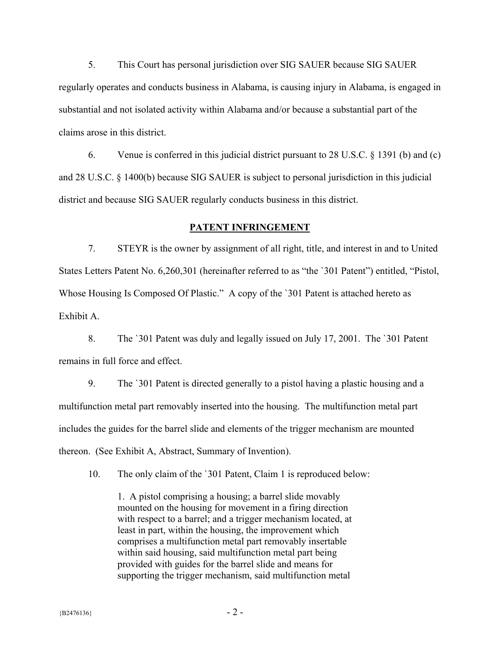5. This Court has personal jurisdiction over SIG SAUER because SIG SAUER regularly operates and conducts business in Alabama, is causing injury in Alabama, is engaged in substantial and not isolated activity within Alabama and/or because a substantial part of the claims arose in this district.

6. Venue is conferred in this judicial district pursuant to 28 U.S.C. § 1391 (b) and (c) and 28 U.S.C. § 1400(b) because SIG SAUER is subject to personal jurisdiction in this judicial district and because SIG SAUER regularly conducts business in this district.

#### **PATENT INFRINGEMENT**

7. STEYR is the owner by assignment of all right, title, and interest in and to United States Letters Patent No. 6,260,301 (hereinafter referred to as "the `301 Patent") entitled, "Pistol, Whose Housing Is Composed Of Plastic." A copy of the `301 Patent is attached hereto as Exhibit A.

8. The `301 Patent was duly and legally issued on July 17, 2001. The `301 Patent remains in full force and effect.

9. The `301 Patent is directed generally to a pistol having a plastic housing and a multifunction metal part removably inserted into the housing. The multifunction metal part includes the guides for the barrel slide and elements of the trigger mechanism are mounted thereon. (See Exhibit A, Abstract, Summary of Invention).

10. The only claim of the `301 Patent, Claim 1 is reproduced below:

1. A pistol comprising a housing; a barrel slide movably mounted on the housing for movement in a firing direction with respect to a barrel; and a trigger mechanism located, at least in part, within the housing, the improvement which comprises a multifunction metal part removably insertable within said housing, said multifunction metal part being provided with guides for the barrel slide and means for supporting the trigger mechanism, said multifunction metal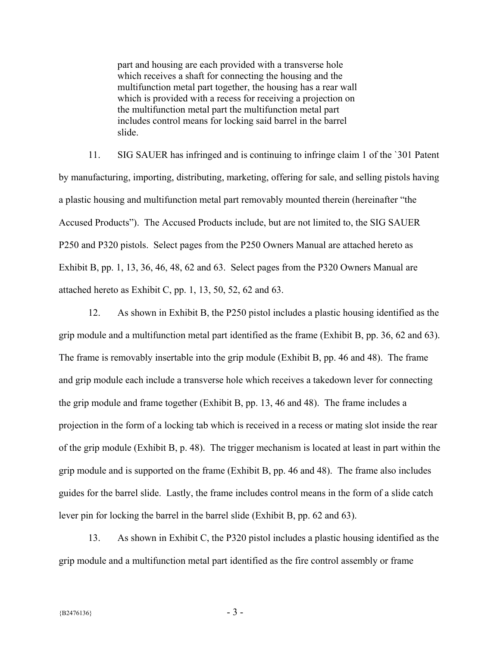part and housing are each provided with a transverse hole which receives a shaft for connecting the housing and the multifunction metal part together, the housing has a rear wall which is provided with a recess for receiving a projection on the multifunction metal part the multifunction metal part includes control means for locking said barrel in the barrel slide.

11. SIG SAUER has infringed and is continuing to infringe claim 1 of the `301 Patent by manufacturing, importing, distributing, marketing, offering for sale, and selling pistols having a plastic housing and multifunction metal part removably mounted therein (hereinafter "the Accused Products"). The Accused Products include, but are not limited to, the SIG SAUER P250 and P320 pistols. Select pages from the P250 Owners Manual are attached hereto as Exhibit B, pp. 1, 13, 36, 46, 48, 62 and 63. Select pages from the P320 Owners Manual are attached hereto as Exhibit C, pp. 1, 13, 50, 52, 62 and 63.

12. As shown in Exhibit B, the P250 pistol includes a plastic housing identified as the grip module and a multifunction metal part identified as the frame (Exhibit B, pp. 36, 62 and 63). The frame is removably insertable into the grip module (Exhibit B, pp. 46 and 48). The frame and grip module each include a transverse hole which receives a takedown lever for connecting the grip module and frame together (Exhibit B, pp. 13, 46 and 48). The frame includes a projection in the form of a locking tab which is received in a recess or mating slot inside the rear of the grip module (Exhibit B, p. 48). The trigger mechanism is located at least in part within the grip module and is supported on the frame (Exhibit B, pp. 46 and 48). The frame also includes guides for the barrel slide. Lastly, the frame includes control means in the form of a slide catch lever pin for locking the barrel in the barrel slide (Exhibit B, pp. 62 and 63).

13. As shown in Exhibit C, the P320 pistol includes a plastic housing identified as the grip module and a multifunction metal part identified as the fire control assembly or frame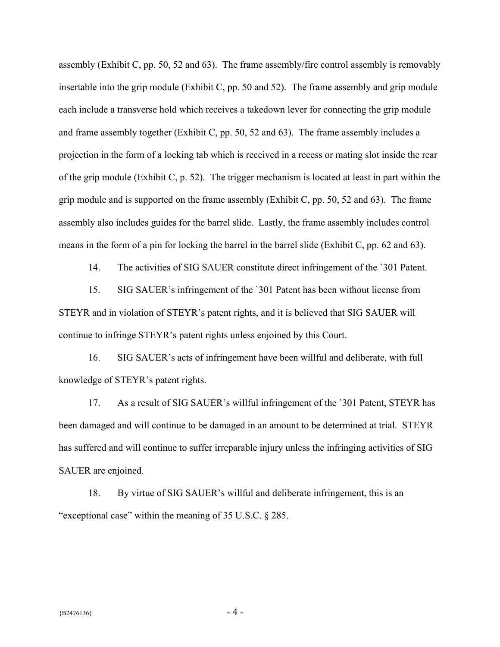assembly (Exhibit C, pp. 50, 52 and 63). The frame assembly/fire control assembly is removably insertable into the grip module (Exhibit C, pp. 50 and 52). The frame assembly and grip module each include a transverse hold which receives a takedown lever for connecting the grip module and frame assembly together (Exhibit C, pp. 50, 52 and 63). The frame assembly includes a projection in the form of a locking tab which is received in a recess or mating slot inside the rear of the grip module (Exhibit C, p. 52). The trigger mechanism is located at least in part within the grip module and is supported on the frame assembly (Exhibit C, pp. 50, 52 and 63). The frame assembly also includes guides for the barrel slide. Lastly, the frame assembly includes control means in the form of a pin for locking the barrel in the barrel slide (Exhibit C, pp. 62 and 63).

14. The activities of SIG SAUER constitute direct infringement of the `301 Patent.

15. SIG SAUER's infringement of the `301 Patent has been without license from STEYR and in violation of STEYR's patent rights, and it is believed that SIG SAUER will continue to infringe STEYR's patent rights unless enjoined by this Court.

16. SIG SAUER's acts of infringement have been willful and deliberate, with full knowledge of STEYR's patent rights.

17. As a result of SIG SAUER's willful infringement of the `301 Patent, STEYR has been damaged and will continue to be damaged in an amount to be determined at trial. STEYR has suffered and will continue to suffer irreparable injury unless the infringing activities of SIG SAUER are enjoined.

18. By virtue of SIG SAUER's willful and deliberate infringement, this is an "exceptional case" within the meaning of 35 U.S.C. § 285.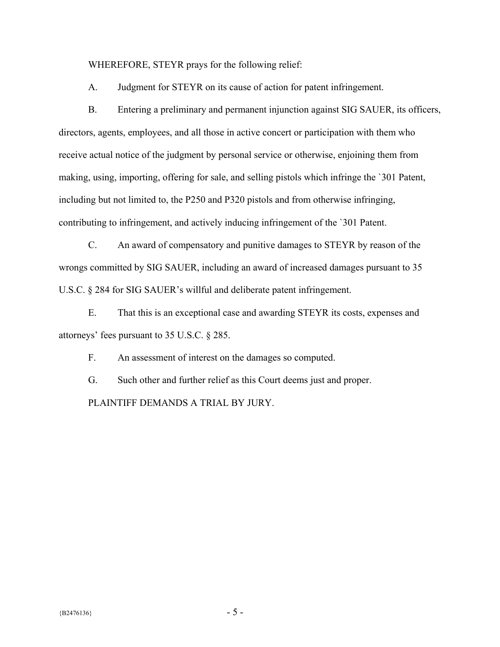WHEREFORE, STEYR prays for the following relief:

A. Judgment for STEYR on its cause of action for patent infringement.

B. Entering a preliminary and permanent injunction against SIG SAUER, its officers, directors, agents, employees, and all those in active concert or participation with them who receive actual notice of the judgment by personal service or otherwise, enjoining them from making, using, importing, offering for sale, and selling pistols which infringe the `301 Patent, including but not limited to, the P250 and P320 pistols and from otherwise infringing, contributing to infringement, and actively inducing infringement of the `301 Patent.

C. An award of compensatory and punitive damages to STEYR by reason of the wrongs committed by SIG SAUER, including an award of increased damages pursuant to 35 U.S.C. § 284 for SIG SAUER's willful and deliberate patent infringement.

E. That this is an exceptional case and awarding STEYR its costs, expenses and attorneys' fees pursuant to 35 U.S.C. § 285.

F. An assessment of interest on the damages so computed.

G. Such other and further relief as this Court deems just and proper. PLAINTIFF DEMANDS A TRIAL BY JURY.